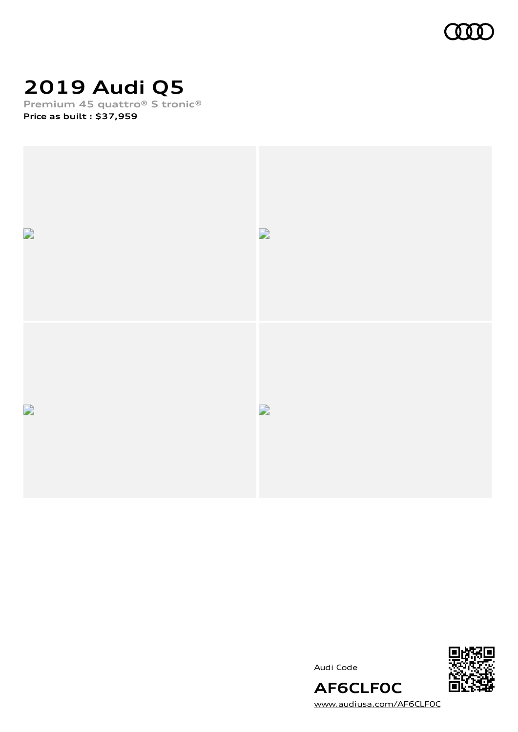

# **2019 Audi Q5**

**Premium 45 quattro® S tronic® Price as built [:](#page-10-0) \$37,959**



Audi Code



[www.audiusa.com/AF6CLF0C](https://www.audiusa.com/AF6CLF0C)

**AF6CLF0C**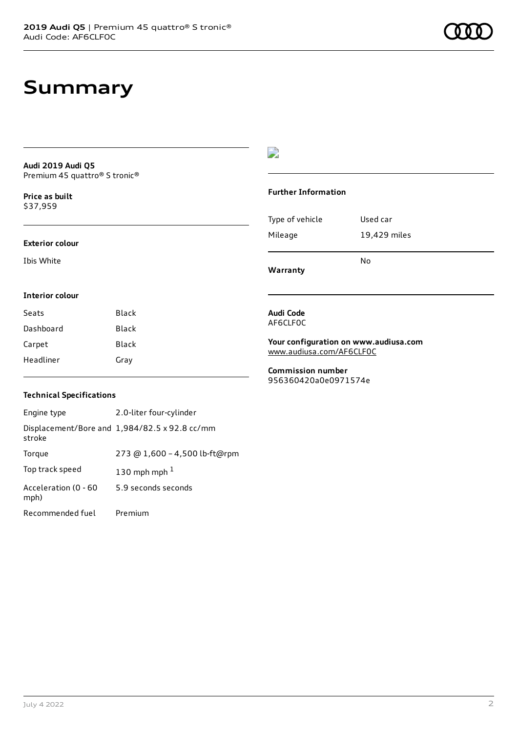## **Summary**

**Audi 2019 Audi Q5** Premium 45 quattro® S tronic®

**Price as buil[t](#page-10-0)** \$37,959

#### **Exterior colour**

**Interior colour**

Ibis White

### $\overline{\phantom{a}}$

#### **Further Information**

|                 | No           |
|-----------------|--------------|
| Mileage         | 19,429 miles |
| Type of vehicle | Used car     |

**Warranty**

### **Audi Code**

AF6CLF0C

**Your configuration on www.audiusa.com** [www.audiusa.com/AF6CLF0C](https://www.audiusa.com/AF6CLF0C)

**Commission number** 956360420a0e0971574e

### **Technical Specifications**

Seats Black Dashboard Black Carpet Black Headliner Gray

| Engine type                  | 2.0-liter four-cylinder                       |
|------------------------------|-----------------------------------------------|
| stroke                       | Displacement/Bore and 1,984/82.5 x 92.8 cc/mm |
| Torque                       | 273 @ 1,600 - 4,500 lb-ft@rpm                 |
| Top track speed              | 130 mph mph $1$                               |
| Acceleration (0 - 60<br>mph) | 5.9 seconds seconds                           |
| Recommended fuel             | Premium                                       |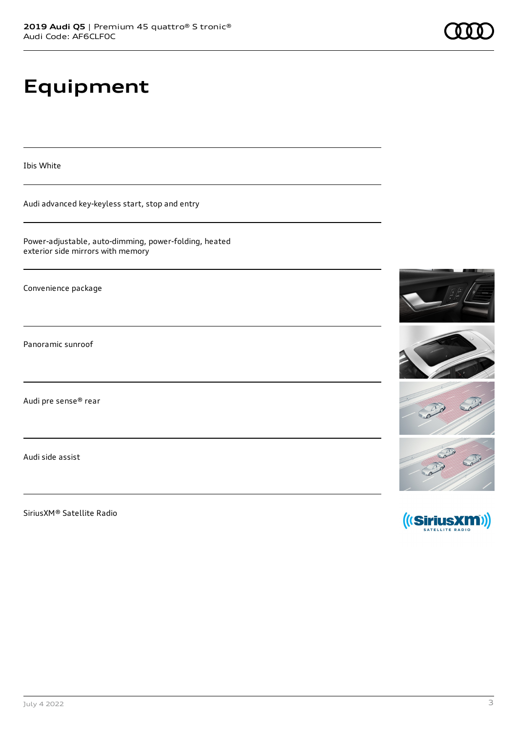# **Equipment**

Ibis White

Audi advanced key-keyless start, stop and entry

Power-adjustable, auto-dimming, power-folding, heated exterior side mirrors with memory

Convenience package

Panoramic sunroof

Audi pre sense® rear

Audi side assist

SiriusXM® Satellite Radio

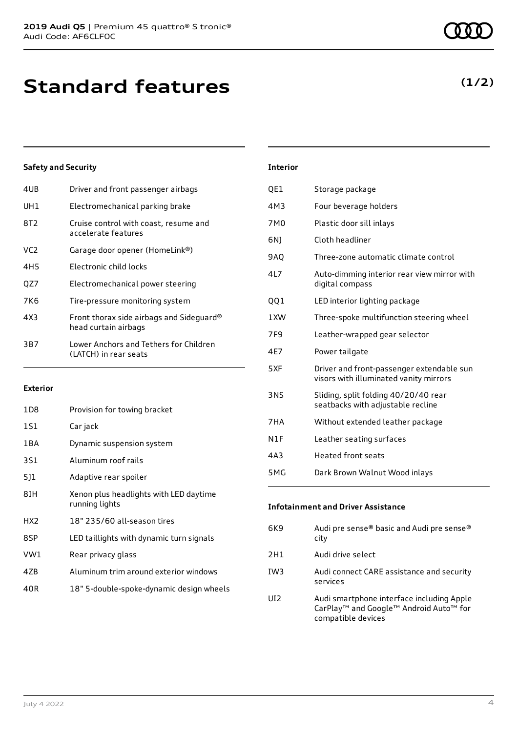| 4UB             | Driver and front passenger airbags                               |
|-----------------|------------------------------------------------------------------|
| UH <sub>1</sub> | Electromechanical parking brake                                  |
| 8T2             | Cruise control with coast, resume and<br>accelerate features     |
| VC <sub>2</sub> | Garage door opener (HomeLink®)                                   |
| 4H5             | Electronic child locks                                           |
| OZ7             | Electromechanical power steering                                 |
| 7K6             | Tire-pressure monitoring system                                  |
| 4X3             | Front thorax side airbags and Sideguard®<br>head curtain airbags |
| 3B7             | Lower Anchors and Tethers for Children<br>(LATCH) in rear seats  |
|                 |                                                                  |

### **Exterior**

| 1D8             | Provision for towing bracket                             |
|-----------------|----------------------------------------------------------|
| 1S1             | Car jack                                                 |
| 1 B A           | Dynamic suspension system                                |
| 3S1             | Aluminum roof rails                                      |
| 5]1             | Adaptive rear spoiler                                    |
| 8IH             | Xenon plus headlights with LED daytime<br>running lights |
| HX <sub>2</sub> | 18" 235/60 all-season tires                              |
| 8SP             | LED taillights with dynamic turn signals                 |
| VW1             | Rear privacy glass                                       |
| 4ZB             | Aluminum trim around exterior windows                    |
| 40R             | 18" 5-double-spoke-dynamic design wheels                 |

| <b>Interior</b> |                                                                                     |
|-----------------|-------------------------------------------------------------------------------------|
| QE1             | Storage package                                                                     |
| 4M3             | Four beverage holders                                                               |
| 7M <sub>0</sub> | Plastic door sill inlays                                                            |
| 6N)             | Cloth headliner                                                                     |
| <b>9AO</b>      | Three-zone automatic climate control                                                |
| 4L7             | Auto-dimming interior rear view mirror with<br>digital compass                      |
| QQ1             | LED interior lighting package                                                       |
| 1XW             | Three-spoke multifunction steering wheel                                            |
| 7F9             | Leather-wrapped gear selector                                                       |
| 4E7             | Power tailgate                                                                      |
| 5XF             | Driver and front-passenger extendable sun<br>visors with illuminated vanity mirrors |
| 3NS             | Sliding, split folding 40/20/40 rear<br>seatbacks with adjustable recline           |
| 7HA             | Without extended leather package                                                    |
| N1F             | Leather seating surfaces                                                            |
| 4A3             | <b>Heated front seats</b>                                                           |
| 5MG             | Dark Brown Walnut Wood inlays                                                       |

| <b>Infotainment and Driver Assistance</b> |                                                                                                                                               |  |
|-------------------------------------------|-----------------------------------------------------------------------------------------------------------------------------------------------|--|
| 6K9                                       | Audi pre sense® basic and Audi pre sense®<br>city                                                                                             |  |
| 2H1                                       | Audi drive select                                                                                                                             |  |
| TW <sub>3</sub>                           | Audi connect CARE assistance and security<br>services                                                                                         |  |
| UD.                                       | Audi smartphone interface including Apple<br>CarPlay <sup>™</sup> and Google <sup>™</sup> Android Auto <sup>™</sup> for<br>compatible devices |  |

### **(1/2)**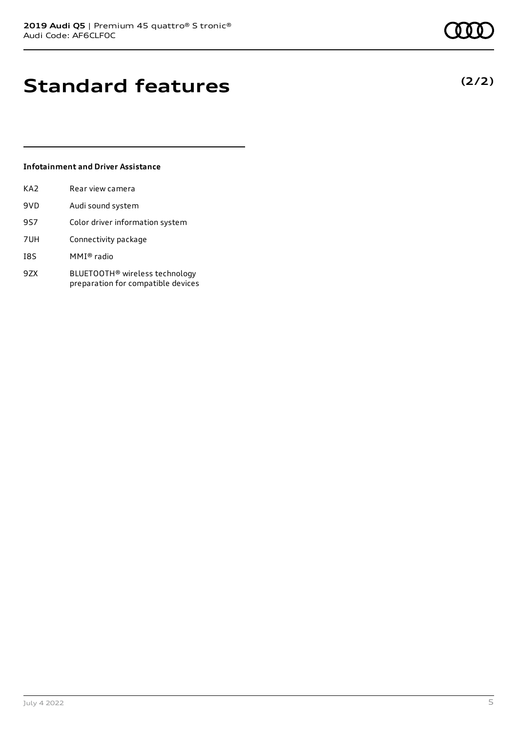# **Standard features**

### **Infotainment and Driver Assistance**

| KA2 | Rear view camera                                                                 |
|-----|----------------------------------------------------------------------------------|
| 9VD | Audi sound system                                                                |
| 9S7 | Color driver information system                                                  |
| 7UH | Connectivity package                                                             |
| I8S | MMI® radio                                                                       |
| 9ZX | BLUETOOTH <sup>®</sup> wireless technology<br>preparation for compatible devices |

**(2/2)**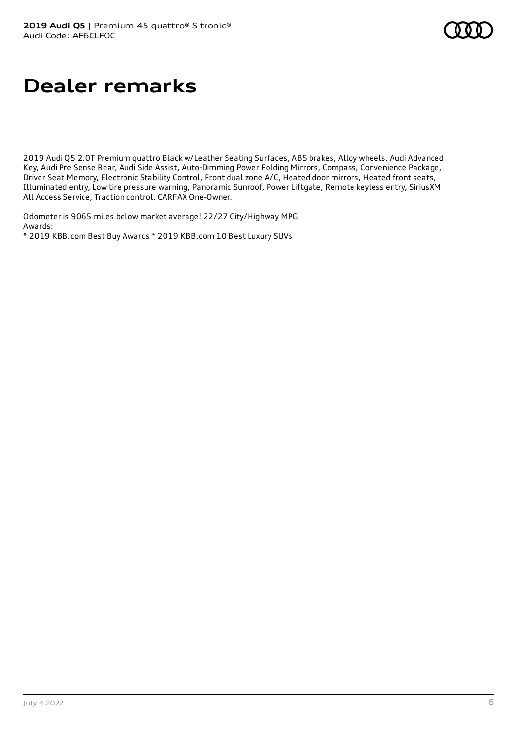# **Dealer remarks**

2019 Audi Q5 2.0T Premium quattro Black w/Leather Seating Surfaces, ABS brakes, Alloy wheels, Audi Advanced Key, Audi Pre Sense Rear, Audi Side Assist, Auto-Dimming Power Folding Mirrors, Compass, Convenience Package, Driver Seat Memory, Electronic Stability Control, Front dual zone A/C, Heated door mirrors, Heated front seats, Illuminated entry, Low tire pressure warning, Panoramic Sunroof, Power Liftgate, Remote keyless entry, SiriusXM All Access Service, Traction control. CARFAX One-Owner.

Odometer is 9065 miles below market average! 22/27 City/Highway MPG Awards:

\* 2019 KBB.com Best Buy Awards \* 2019 KBB.com 10 Best Luxury SUVs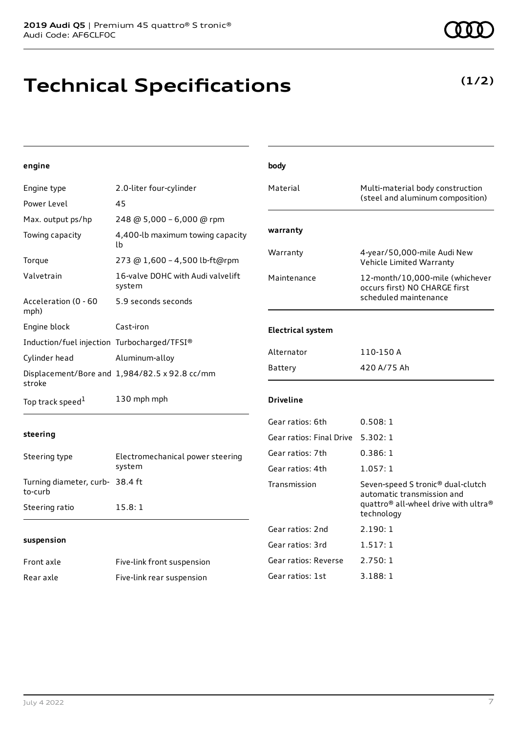# **Technical Specifications**

| engine                                      |                                               | body                     |                                                                             |
|---------------------------------------------|-----------------------------------------------|--------------------------|-----------------------------------------------------------------------------|
| Engine type                                 | 2.0-liter four-cylinder                       | Material                 | Multi-material body construction                                            |
| Power Level                                 | 45                                            |                          | (steel and aluminum composition)                                            |
| Max. output ps/hp                           | 248 @ 5,000 - 6,000 @ rpm                     |                          |                                                                             |
| Towing capacity                             | 4,400-lb maximum towing capacity<br>lb.       | warranty                 |                                                                             |
| Torque                                      | 273 @ 1,600 - 4,500 lb-ft@rpm                 | Warranty                 | 4-year/50,000-mile Audi New<br>Vehicle Limited Warranty                     |
| Valvetrain                                  | 16-valve DOHC with Audi valvelift<br>system   | Maintenance              | 12-month/10,000-mile (whichever<br>occurs first) NO CHARGE first            |
| Acceleration (0 - 60<br>mph)                | 5.9 seconds seconds                           |                          | scheduled maintenance                                                       |
| Engine block                                | Cast-iron                                     | <b>Electrical system</b> |                                                                             |
| Induction/fuel injection Turbocharged/TFSI® |                                               |                          |                                                                             |
| Cylinder head                               | Aluminum-alloy                                | Alternator               | 110-150 A                                                                   |
| stroke                                      | Displacement/Bore and 1,984/82.5 x 92.8 cc/mm | <b>Battery</b>           | 420 A/75 Ah                                                                 |
| Top track speed <sup>1</sup>                | 130 mph mph                                   | <b>Driveline</b>         |                                                                             |
|                                             |                                               | Gear ratios: 6th         | 0.508:1                                                                     |
| steering                                    |                                               | Gear ratios: Final Drive | 5.302:1                                                                     |
| Steering type                               | Electromechanical power steering              | Gear ratios: 7th         | 0.386:1                                                                     |
|                                             | system                                        | Gear ratios: 4th         | 1.057:1                                                                     |
| Turning diameter, curb- 38.4 ft<br>to-curb  |                                               | Transmission             | Seven-speed S tronic <sup>®</sup> dual-clutch<br>automatic transmission and |
| Steering ratio                              | 15.8:1                                        |                          | quattro® all-wheel drive with ultra®<br>technology                          |
|                                             |                                               | Gear ratios: 2nd         | 2.190:1                                                                     |
| suspension                                  |                                               | Gear ratios: 3rd         | 1.517:1                                                                     |
| Front axle                                  | Five-link front suspension                    | Gear ratios: Reverse     | 2.750:1                                                                     |
| Rear axle                                   | Five-link rear suspension                     | Gear ratios: 1st         | 3.188:1                                                                     |
|                                             |                                               |                          |                                                                             |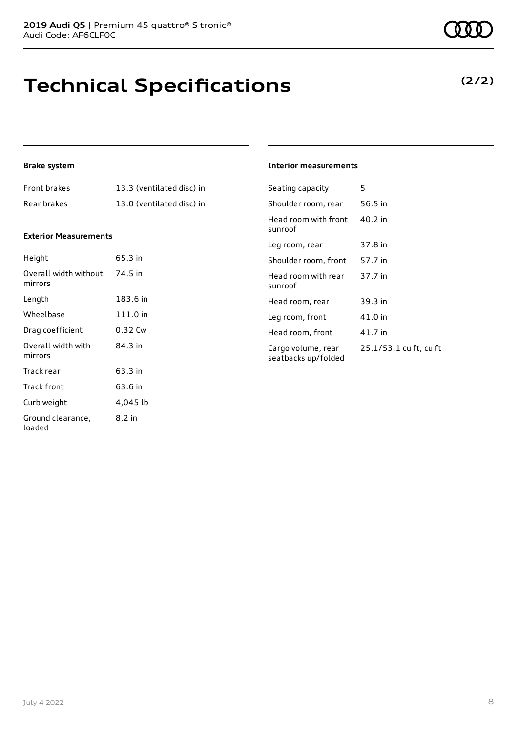## **Technical Specifications**

### **(2/2)**

### **Brake system**

| <b>Front brakes</b> | 13.3 (ventilated disc) in |
|---------------------|---------------------------|
| Rear brakes         | 13.0 (ventilated disc) in |

#### **Exterior Measurements**

| Height                           | 65.3 in  |
|----------------------------------|----------|
| Overall width without<br>mirrors | 74.5 in  |
| Length                           | 183.6 in |
| Wheelbase                        | 111.0 in |
| Drag coefficient                 | 0.32 Cw  |
| Overall width with<br>mirrors    | 84.3 in  |
| Track rear                       | 63.3 in  |
| Track front                      | 63.6 in  |
| Curb weight                      | 4,045 lb |
| Ground clearance,<br>loaded      | 8.2 in   |

#### **Interior measurements**

| Seating capacity                          | 5                      |
|-------------------------------------------|------------------------|
| Shoulder room, rear                       | 56.5 in                |
| Head room with front<br>sunroof           | 40.2 in                |
| Leg room, rear                            | 37.8 in                |
| Shoulder room, front                      | 57.7 in                |
| Head room with rear<br>sunroof            | 37.7 in                |
| Head room, rear                           | 39.3 in                |
| Leg room, front                           | 41.0 in                |
| Head room, front                          | 41.7 in                |
| Cargo volume, rear<br>seatbacks up/folded | 25.1/53.1 cu ft, cu ft |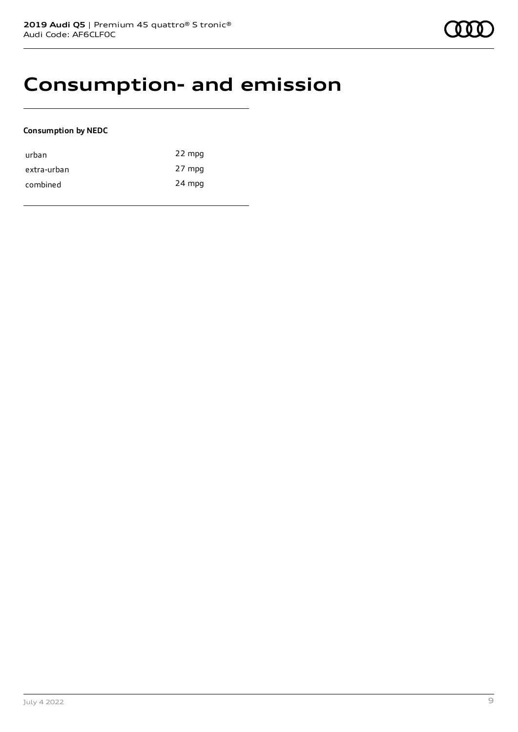### **Consumption- and emission**

### **Consumption by NEDC**

| urban       | 22 mpg |
|-------------|--------|
| extra-urban | 27 mpg |
| combined    | 24 mpg |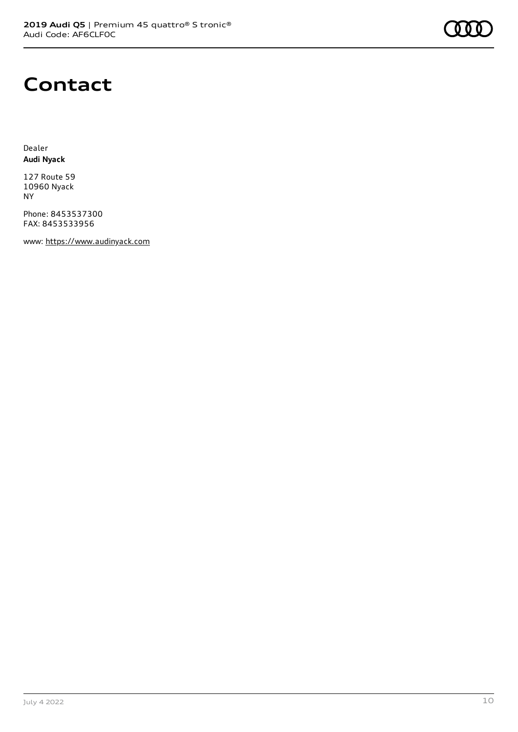

### **Contact**

Dealer **Audi Nyack**

127 Route 59 10960 Nyack NY

Phone: 8453537300 FAX: 8453533956

www: [https://www.audinyack.com](https://www.audinyack.com/)